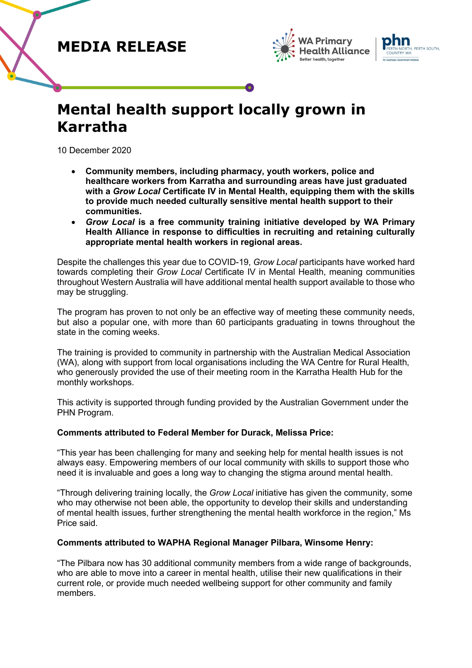### **MEDIA RELEASE**





# **Mental health support locally grown in Karratha**

10 December 2020

- **Community members, including pharmacy, youth workers, police and healthcare workers from Karratha and surrounding areas have just graduated with a** *Grow Local* **Certificate IV in Mental Health, equipping them with the skills to provide much needed culturally sensitive mental health support to their communities.**
- *Grow Local* **is a free community training initiative developed by WA Primary Health Alliance in response to difficulties in recruiting and retaining culturally appropriate mental health workers in regional areas.**

Despite the challenges this year due to COVID-19, *Grow Local* participants have worked hard towards completing their *Grow Local* Certificate IV in Mental Health, meaning communities throughout Western Australia will have additional mental health support available to those who may be struggling.

The program has proven to not only be an effective way of meeting these community needs, but also a popular one, with more than 60 participants graduating in towns throughout the state in the coming weeks.

The training is provided to community in partnership with the Australian Medical Association (WA), along with support from local organisations including the WA Centre for Rural Health, who generously provided the use of their meeting room in the Karratha Health Hub for the monthly workshops.

This activity is supported through funding provided by the Australian Government under the PHN Program.

### **Comments attributed to Federal Member for Durack, Melissa Price:**

"This year has been challenging for many and seeking help for mental health issues is not always easy. Empowering members of our local community with skills to support those who need it is invaluable and goes a long way to changing the stigma around mental health.

"Through delivering training locally, the *Grow Local* initiative has given the community, some who may otherwise not been able, the opportunity to develop their skills and understanding of mental health issues, further strengthening the mental health workforce in the region," Ms Price said.

### **Comments attributed to WAPHA Regional Manager Pilbara, Winsome Henry:**

"The Pilbara now has 30 additional community members from a wide range of backgrounds, who are able to move into a career in mental health, utilise their new qualifications in their current role, or provide much needed wellbeing support for other community and family members.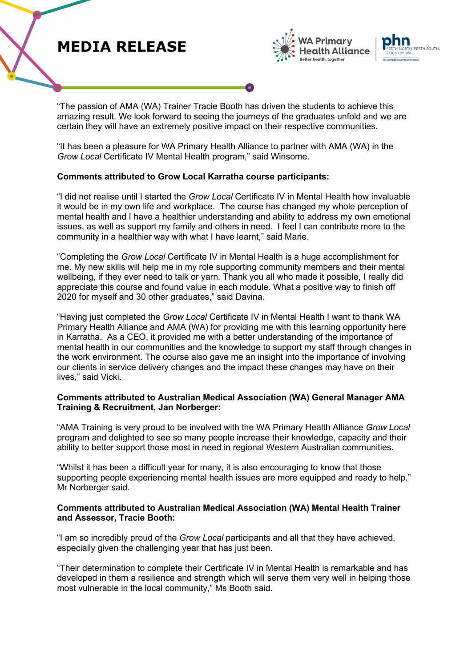## **MEDIA RELEASE**





"The passion of AMA (WA) Trainer Tracie Booth has driven the students to achieve this amazing result. We look forward to seeing the journeys of the graduates unfold and we are certain they will have an extremely positive impact on their respective communities.

"It has been a pleasure for WA Primary Health Alliance to partner with AMA (WA) in the *Grow Local* Certificate IV Mental Health program," said Winsome.

### **Comments attributed to Grow Local Karratha course participants:**

"I did not realise until I started the *Grow Local* Certificate IV in Mental Health how invaluable it would be in my own life and workplace. The course has changed my whole perception of mental health and I have a healthier understanding and ability to address my own emotional issues, as well as support my family and others in need. I feel I can contribute more to the community in a healthier way with what I have learnt," said Marie.

"Completing the *Grow Local* Certificate IV in Mental Health is a huge accomplishment for me. My new skills will help me in my role supporting community members and their mental wellbeing, if they ever need to talk or yarn. Thank you all who made it possible, I really did appreciate this course and found value in each module. What a positive way to finish off 2020 for myself and 30 other graduates," said Davina.

"Having just completed the *Grow Local* Certificate IV in Mental Health I want to thank WA Primary Health Alliance and AMA (WA) for providing me with this learning opportunity here in Karratha. As a CEO, it provided me with a better understanding of the importance of mental health in our communities and the knowledge to support my staff through changes in the work environment. The course also gave me an insight into the importance of involving our clients in service delivery changes and the impact these changes may have on their lives," said Vicki.

### **Comments attributed to Australian Medical Association (WA) General Manager AMA Training & Recruitment, Jan Norberger:**

"AMA Training is very proud to be involved with the WA Primary Health Alliance *Grow Local*  program and delighted to see so many people increase their knowledge, capacity and their ability to better support those most in need in regional Western Australian communities.

"Whilst it has been a difficult year for many, it is also encouraging to know that those supporting people experiencing mental health issues are more equipped and ready to help," Mr Norberger said.

### **Comments attributed to Australian Medical Association (WA) Mental Health Trainer and Assessor, Tracie Booth:**

"I am so incredibly proud of the *Grow Local* participants and all that they have achieved, especially given the challenging year that has just been.

"Their determination to complete their Certificate IV in Mental Health is remarkable and has developed in them a resilience and strength which will serve them very well in helping those most vulnerable in the local community," Ms Booth said.